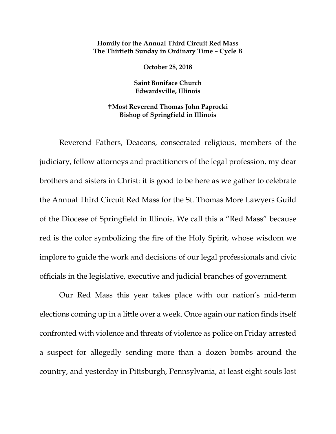## **Homily for the Annual Third Circuit Red Mass The Thirtieth Sunday in Ordinary Time – Cycle B**

**October 28, 2018**

**Saint Boniface Church Edwardsville, Illinois**

## **Most Reverend Thomas John Paprocki Bishop of Springfield in Illinois**

Reverend Fathers, Deacons, consecrated religious, members of the judiciary, fellow attorneys and practitioners of the legal profession, my dear brothers and sisters in Christ: it is good to be here as we gather to celebrate the Annual Third Circuit Red Mass for the St. Thomas More Lawyers Guild of the Diocese of Springfield in Illinois. We call this a "Red Mass" because red is the color symbolizing the fire of the Holy Spirit, whose wisdom we implore to guide the work and decisions of our legal professionals and civic officials in the legislative, executive and judicial branches of government.

Our Red Mass this year takes place with our nation's mid-term elections coming up in a little over a week. Once again our nation finds itself confronted with violence and threats of violence as police on Friday arrested a suspect for allegedly sending more than a dozen bombs around the country, and yesterday in Pittsburgh, Pennsylvania, at least eight souls lost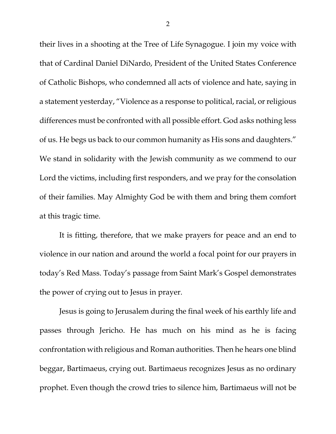their lives in a shooting at the Tree of Life Synagogue. I join my voice with that of Cardinal Daniel DiNardo, President of the United States Conference of Catholic Bishops, who condemned all acts of violence and hate, saying in a statement yesterday, "Violence as a response to political, racial, or religious differences must be confronted with all possible effort. God asks nothing less of us. He begs us back to our common humanity as His sons and daughters." We stand in solidarity with the Jewish community as we commend to our Lord the victims, including first responders, and we pray for the consolation of their families. May Almighty God be with them and bring them comfort at this tragic time.

It is fitting, therefore, that we make prayers for peace and an end to violence in our nation and around the world a focal point for our prayers in today's Red Mass. Today's passage from Saint Mark's Gospel demonstrates the power of crying out to Jesus in prayer.

Jesus is going to Jerusalem during the final week of his earthly life and passes through Jericho. He has much on his mind as he is facing confrontation with religious and Roman authorities. Then he hears one blind beggar, Bartimaeus, crying out. Bartimaeus recognizes Jesus as no ordinary prophet. Even though the crowd tries to silence him, Bartimaeus will not be

2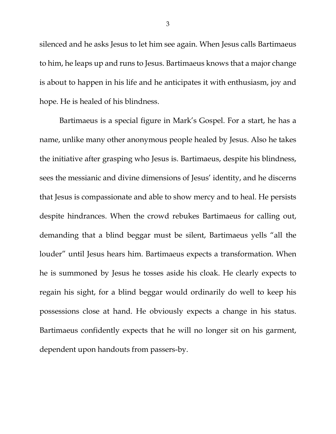silenced and he asks Jesus to let him see again. When Jesus calls Bartimaeus to him, he leaps up and runs to Jesus. Bartimaeus knows that a major change is about to happen in his life and he anticipates it with enthusiasm, joy and hope. He is healed of his blindness.

Bartimaeus is a special figure in Mark's Gospel. For a start, he has a name, unlike many other anonymous people healed by Jesus. Also he takes the initiative after grasping who Jesus is. Bartimaeus, despite his blindness, sees the messianic and divine dimensions of Jesus' identity, and he discerns that Jesus is compassionate and able to show mercy and to heal. He persists despite hindrances. When the crowd rebukes Bartimaeus for calling out, demanding that a blind beggar must be silent, Bartimaeus yells "all the louder" until Jesus hears him. Bartimaeus expects a transformation. When he is summoned by Jesus he tosses aside his cloak. He clearly expects to regain his sight, for a blind beggar would ordinarily do well to keep his possessions close at hand. He obviously expects a change in his status. Bartimaeus confidently expects that he will no longer sit on his garment, dependent upon handouts from passers-by.